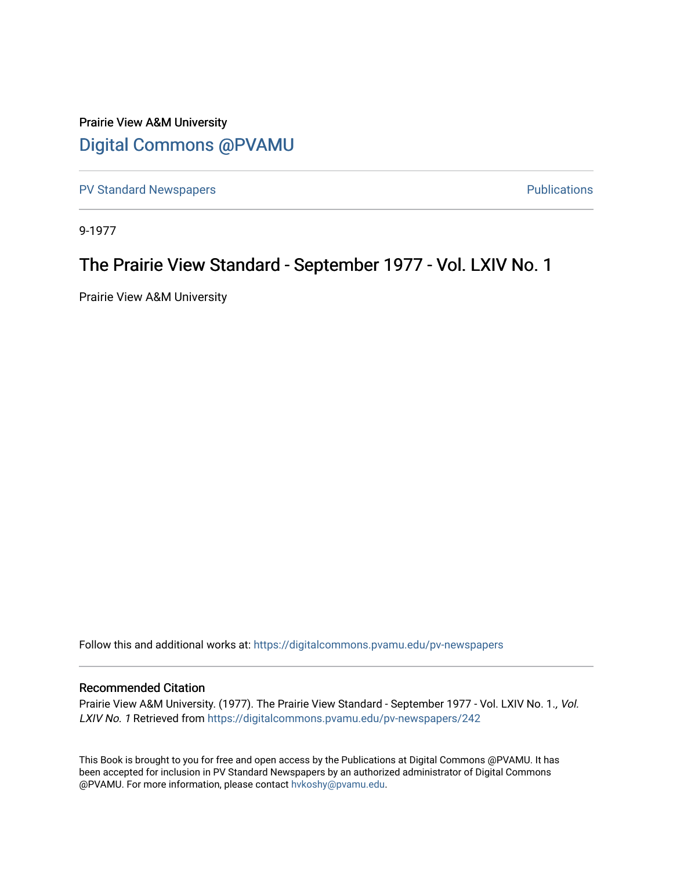### Prairie View A&M University [Digital Commons @PVAMU](https://digitalcommons.pvamu.edu/)

[PV Standard Newspapers](https://digitalcommons.pvamu.edu/pv-newspapers) **PV Standard Newspapers PUS** 

9-1977

### The Prairie View Standard - September 1977 - Vol. LXIV No. 1

Prairie View A&M University

Follow this and additional works at: [https://digitalcommons.pvamu.edu/pv-newspapers](https://digitalcommons.pvamu.edu/pv-newspapers?utm_source=digitalcommons.pvamu.edu%2Fpv-newspapers%2F242&utm_medium=PDF&utm_campaign=PDFCoverPages)

#### Recommended Citation

Prairie View A&M University. (1977). The Prairie View Standard - September 1977 - Vol. LXIV No. 1., Vol. LXIV No. 1 Retrieved from [https://digitalcommons.pvamu.edu/pv-newspapers/242](https://digitalcommons.pvamu.edu/pv-newspapers/242?utm_source=digitalcommons.pvamu.edu%2Fpv-newspapers%2F242&utm_medium=PDF&utm_campaign=PDFCoverPages)

This Book is brought to you for free and open access by the Publications at Digital Commons @PVAMU. It has been accepted for inclusion in PV Standard Newspapers by an authorized administrator of Digital Commons @PVAMU. For more information, please contact [hvkoshy@pvamu.edu](mailto:hvkoshy@pvamu.edu).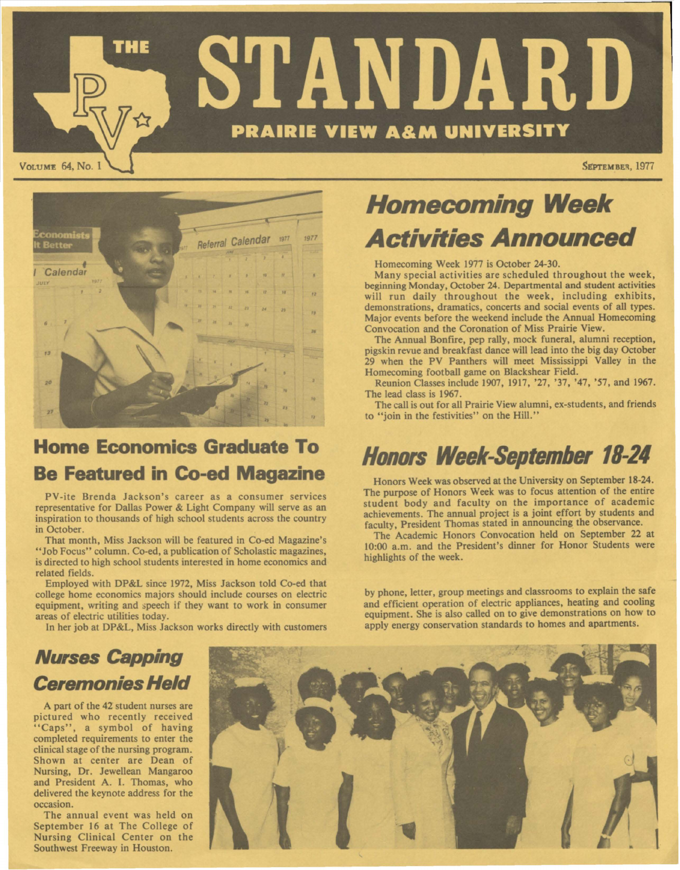



## **Home Economics Graduate To Be Featured in Co-ed Magazine**

PV-ite Brenda Jackson's career as a consumer services representative for Dallas Power & Light Company will serve as an inspiration to thousands of high school students across the country in October.

That month, Miss Jackson will be featured in Co-ed Magazine's "Job Focus" column. Co-ed, a publication of Scholastic magazines, is directed to high school students interested in home economics and related fields.

Employed with DP&L since 1972, Miss Jackson told Co-ed that college home economics majors should include courses on electric equipment, writing and speech if they want to work in consumer areas of electric utilities today.

In her job at DP&L, Miss Jackson works directly with customers

# **Homecoming Week Activities Announced**

Homecoming Week 1977 is October 24-30.

Many special activities are scheduled throughout the week, beginning Monday, October 24. Departmental and student activities will run daily throughout the week, including exhibits, demonstrations, dramatics, concerts and social events of all types. Major events before the weekend include the Annual Homecoming Convocation and the Coronation of Miss Prairie View .

The Annual Bonfire, pep rally, mock funeral, alumni reception, pigskin revue and breakfast dance will lead into the big day October 29 when the PV Panthers will meet Mississippi Valley in the Homecoming football game on Blackshear Field.

Reunion Classes include 1907, 1917, '27, '37, '47, '57, and 1967 . The lead class is 1967.

The call is out for all Prairie View alumni, ex-students, and friends to "join in the festivities" on the Hill."

# **Honors Week-September 18-24**

Honors Week was observed at the University on September 18-24. The purpose of Honors **Week** was to focus attention of the entire student body and faculty on the importance of academic achievements. The annual project is a joint effort by students and faculty, President Thomas stated in announcing the observance.

The Academic Honors Convocation held on September 22 at 10:00 a.m. and the President's dinner for Honor Students were highlights of the week.

by phone, letter, group meetings and classrooms to explain the safe and efficient operation of electric appliances, heating and cooling equipment. She is also called on to give demonstrations on how to apply energy conservation standards to homes and apartments.

# **Nurses Capping Ceremonies Held**

A part of the 42 student nurses are pictured who recently received "Caps", a symbol of having completed requirements to enter the clinical stage of the nursing program. Shown at center are Dean of Nursing, Dr. Jewellean Mangaroo and President A. I. Thomas, who delivered the keynote address for the occasion.

The annual event was held on September 16 at The College of Nursing Clinical Center on the Southwest Freeway in Houston.